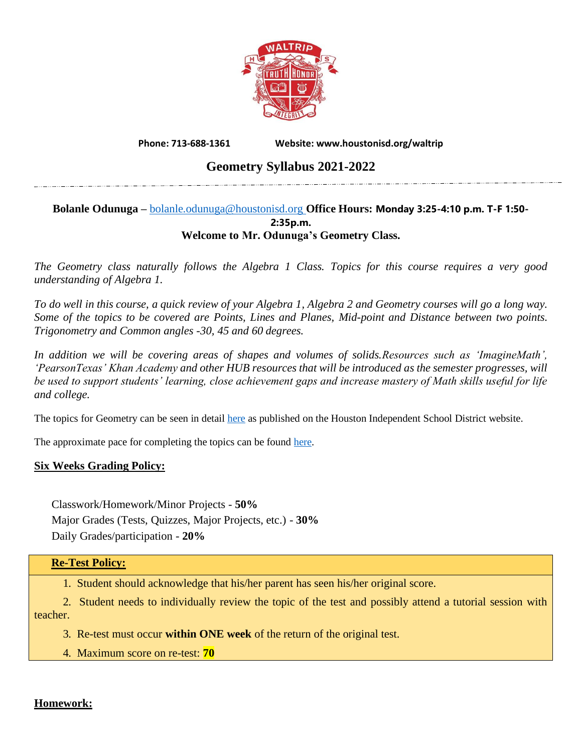

**Phone: 713-688-1361 Website: www.houstonisd.org/waltrip**

# **Geometry Syllabus 2021-2022**

#### **Bolanle Odunuga –** [bolanle.odunuga@houstonisd.org](mailto:bolanle.odunuga@houstonisd.org) **Office Hours: Monday 3:25-4:10 p.m. T-F 1:50- 2:35p.m. Welcome to Mr. Odunuga's Geometry Class.**

*The Geometry class naturally follows the Algebra 1 Class. Topics for this course requires a very good understanding of Algebra 1.*

*To do well in this course, a quick review of your Algebra 1, Algebra 2 and Geometry courses will go a long way. Some of the topics to be covered are Points, Lines and Planes, Mid-point and Distance between two points. Trigonometry and Common angles -30, 45 and 60 degrees.*

*In addition we will be covering areas of shapes and volumes of solids.Resources such as 'ImagineMath', 'PearsonTexas' Khan Academy and other HUB resources that will be introduced as the semester progresses, will be used to support students' learning, close achievement gaps and increase mastery of Math skills useful for life and college.*

The topics for Geometry can be seen in detail [here](https://www.houstonisd.org/site/handlers/filedownload.ashx?moduleinstanceid=117961&dataid=65734&FileName=ScopeAndSequence_HS_MTH_GEOM.pdf) as published on the Houston Independent School District website.

The approximate pace for completing the topics can be found [here.](https://www.houstonisd.org/site/handlers/filedownload.ashx?moduleinstanceid=118582&dataid=66461&FileName=PacingCalendar_HS_MTH_GEOM.pdf)

# **Six Weeks Grading Policy:**

Classwork/Homework/Minor Projects - **50%** Major Grades (Tests, Quizzes, Major Projects, etc.) - **30%** Daily Grades/participation - **20%**

#### **Re-Test Policy:**

1. Student should acknowledge that his/her parent has seen his/her original score.

 2. Student needs to individually review the topic of the test and possibly attend a tutorial session with teacher.

3. Re-test must occur **within ONE week** of the return of the original test.

4. Maximum score on re-test: **70**

# **Homework:**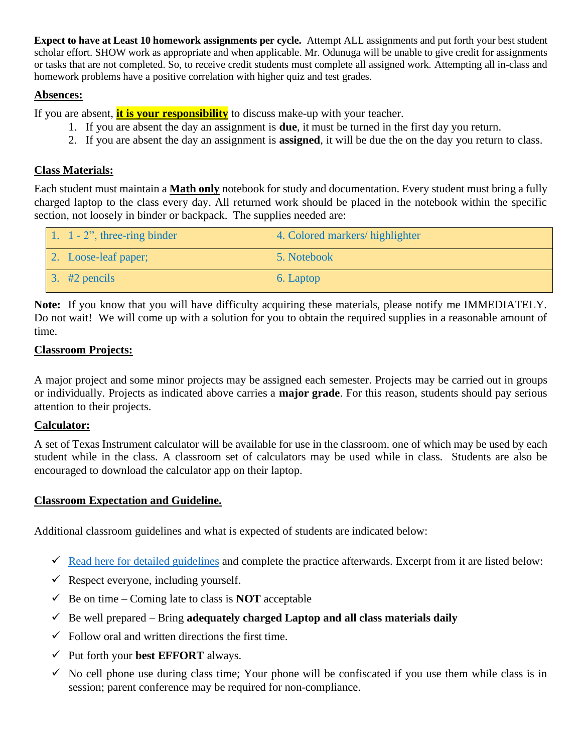**Expect to have at Least 10 homework assignments per cycle.** Attempt ALL assignments and put forth your best student scholar effort. SHOW work as appropriate and when applicable. Mr. Odunuga will be unable to give credit for assignments or tasks that are not completed. So, to receive credit students must complete all assigned work. Attempting all in-class and homework problems have a positive correlation with higher quiz and test grades.

# **Absences:**

If you are absent, **it is your responsibility** to discuss make-up with your teacher.

- 1. If you are absent the day an assignment is **due**, it must be turned in the first day you return.
- 2. If you are absent the day an assignment is **assigned**, it will be due the on the day you return to class.

# **Class Materials:**

Each student must maintain a **Math only** notebook for study and documentation. Every student must bring a fully charged laptop to the class every day. All returned work should be placed in the notebook within the specific section, not loosely in binder or backpack. The supplies needed are:

| 1. 1 - 2", three-ring binder | 4. Colored markers/highlighter |
|------------------------------|--------------------------------|
| 2. Loose-leaf paper;         | 5. Notebook                    |
| $\overline{3}$ . #2 pencils  | 6. Laptop                      |

**Note:** If you know that you will have difficulty acquiring these materials, please notify me IMMEDIATELY. Do not wait! We will come up with a solution for you to obtain the required supplies in a reasonable amount of time.

# **Classroom Projects:**

A major project and some minor projects may be assigned each semester. Projects may be carried out in groups or individually. Projects as indicated above carries a **major grade**. For this reason, students should pay serious attention to their projects.

# **Calculator:**

A set of Texas Instrument calculator will be available for use in the classroom. one of which may be used by each student while in the class. A classroom set of calculators may be used while in class. Students are also be encouraged to download the calculator app on their laptop.

# **Classroom Expectation and Guideline.**

Additional classroom guidelines and what is expected of students are indicated below:

- $\checkmark$  [Read here for detailed guidelines](https://docs.google.com/document/d/1RYbBm7X3kyiwAbb9eYvqvLCUUwrNT5QOkgJohsNCEz4/edit?usp=sharing) and complete the practice afterwards. Excerpt from it are listed below:
- $\checkmark$  Respect everyone, including yourself.
- $\checkmark$  Be on time Coming late to class is **NOT** acceptable
- $\checkmark$  Be well prepared Bring **adequately charged Laptop and all class materials daily**
- $\checkmark$  Follow oral and written directions the first time.
- ✓ Put forth your **best EFFORT** always.
- $\checkmark$  No cell phone use during class time; Your phone will be confiscated if you use them while class is in session; parent conference may be required for non-compliance.